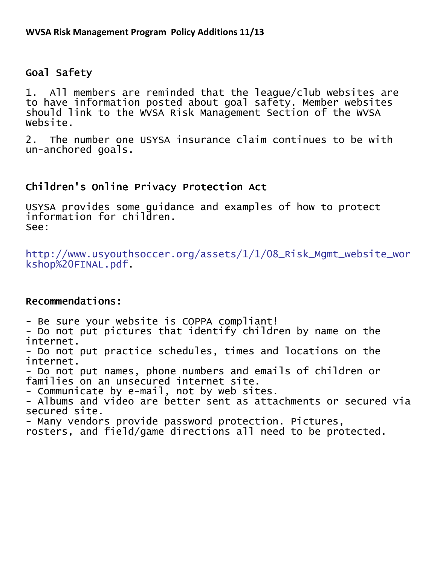## Goal Safety

1. All members are reminded that the league/club websites are to have information posted about goal safety. Member websites should link to the WVSA Risk Management Section of the WVSA Website.

2. The number one USYSA insurance claim continues to be with un-anchored goals.

## Children's Online Privacy Protection Act

USYSA provides some guidance and examples of how to protect information for children. See:

http://www.usyouthsoccer.org/assets/1/1/08\_Risk\_Mgmt\_website\_wor kshop%20FINAL.pdf.

## Recommendations:

- Be sure your website is COPPA compliant!

- Do not put pictures that identify children by name on the internet.

- Do not put practice schedules, times and locations on the internet.

- Do not put names, phone numbers and emails of children or families on an unsecured internet site.

- Communicate by e-mail, not by web sites.

- Albums and video are better sent as attachments or secured via secured site.

- Many vendors provide password protection. Pictures,

rosters, and field/game directions all need to be protected.